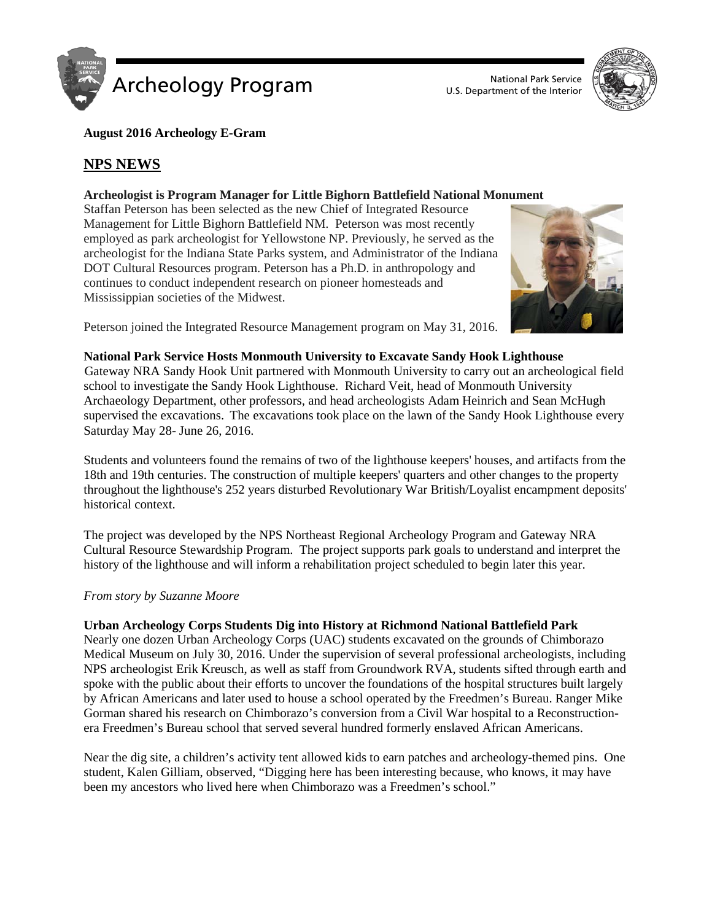

U.S. Department of the Interior



#### **August 2016 Archeology E-Gram**

## **NPS NEWS**

#### **Archeologist is Program Manager for Little Bighorn Battlefield National Monument**

Staffan Peterson has been selected as the new Chief of Integrated Resource Management for Little Bighorn Battlefield NM. Peterson was most recently employed as park archeologist for Yellowstone NP. Previously, he served as the archeologist for the Indiana State Parks system, and Administrator of the Indiana DOT Cultural Resources program. Peterson has a Ph.D. in anthropology and continues to conduct independent research on pioneer homesteads and Mississippian societies of the Midwest.



Peterson joined the Integrated Resource Management program on May 31, 2016.

#### **National Park Service Hosts Monmouth University to Excavate Sandy Hook Lighthouse**

Gateway NRA Sandy Hook Unit partnered with Monmouth University to carry out an archeological field school to investigate the Sandy Hook Lighthouse. Richard Veit, head of Monmouth University Archaeology Department, other professors, and head archeologists Adam Heinrich and Sean McHugh supervised the excavations. The excavations took place on the lawn of the Sandy Hook Lighthouse every Saturday May 28- June 26, 2016.

Students and volunteers found the remains of two of the lighthouse keepers' houses, and artifacts from the 18th and 19th centuries. The construction of multiple keepers' quarters and other changes to the property throughout the lighthouse's 252 years disturbed Revolutionary War British/Loyalist encampment deposits' historical context.

The project was developed by the NPS Northeast Regional Archeology Program and Gateway NRA Cultural Resource Stewardship Program. The project supports park goals to understand and interpret the history of the lighthouse and will inform a rehabilitation project scheduled to begin later this year.

#### *From story by Suzanne Moore*

#### **Urban Archeology Corps Students Dig into History at Richmond National Battlefield Park**

Nearly one dozen Urban Archeology Corps (UAC) students excavated on the grounds of Chimborazo Medical Museum on July 30, 2016. Under the supervision of several professional archeologists, including NPS archeologist Erik Kreusch, as well as staff from Groundwork RVA, students sifted through earth and spoke with the public about their efforts to uncover the foundations of the hospital structures built largely by African Americans and later used to house a school operated by the Freedmen's Bureau. Ranger Mike Gorman shared his research on Chimborazo's conversion from a Civil War hospital to a Reconstructionera Freedmen's Bureau school that served several hundred formerly enslaved African Americans.

Near the dig site, a children's activity tent allowed kids to earn patches and archeology-themed pins. One student, Kalen Gilliam, observed, "Digging here has been interesting because, who knows, it may have been my ancestors who lived here when Chimborazo was a Freedmen's school."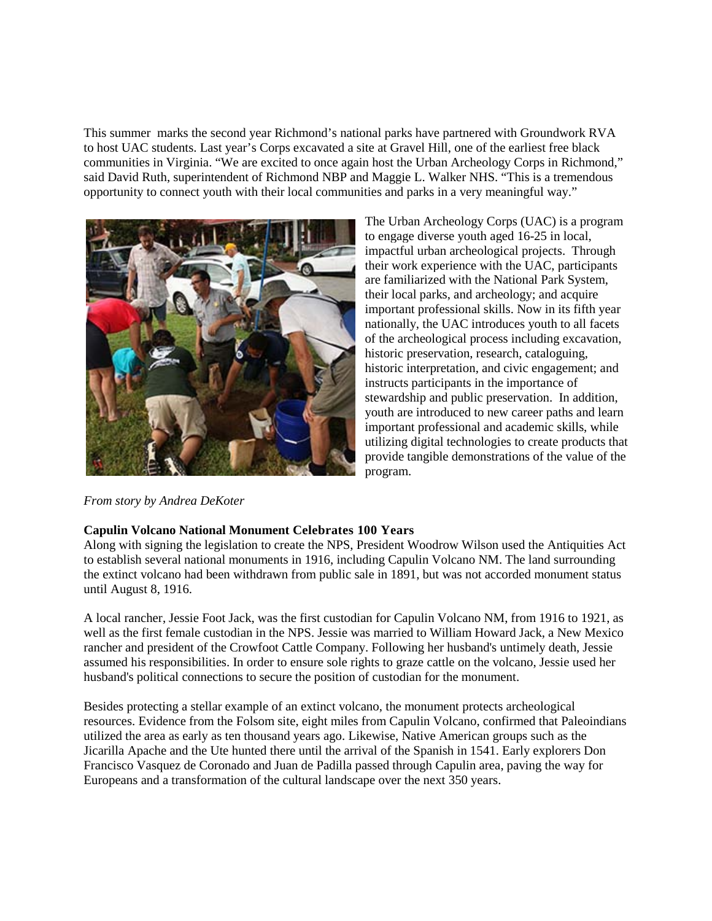This summer marks the second year Richmond's national parks have partnered with Groundwork RVA to host UAC students. Last year's Corps excavated a site at Gravel Hill, one of the earliest free black communities in Virginia. "We are excited to once again host the Urban Archeology Corps in Richmond," said David Ruth, superintendent of Richmond NBP and Maggie L. Walker NHS. "This is a tremendous opportunity to connect youth with their local communities and parks in a very meaningful way."



The Urban Archeology Corps (UAC) is a program to engage diverse youth aged 16-25 in local, impactful urban archeological projects. Through their work experience with the UAC, participants are familiarized with the National Park System, their local parks, and archeology; and acquire important professional skills. Now in its fifth year nationally, the UAC introduces youth to all facets of the archeological process including excavation, historic preservation, research, cataloguing, historic interpretation, and civic engagement; and instructs participants in the importance of stewardship and public preservation. In addition, youth are introduced to new career paths and learn important professional and academic skills, while utilizing digital technologies to create products that provide tangible demonstrations of the value of the program.

*From story by Andrea DeKoter*

#### **Capulin Volcano National Monument Celebrates 100 Years**

Along with signing the legislation to create the NPS, President Woodrow Wilson used the Antiquities Act to establish several national monuments in 1916, including Capulin Volcano NM. The land surrounding the extinct volcano had been withdrawn from public sale in 1891, but was not accorded monument status until August 8, 1916.

A local rancher, Jessie Foot Jack, was the first custodian for Capulin Volcano NM, from 1916 to 1921, as well as the first female custodian in the NPS. Jessie was married to William Howard Jack, a New Mexico rancher and president of the Crowfoot Cattle Company. Following her husband's untimely death, Jessie assumed his responsibilities. In order to ensure sole rights to graze cattle on the volcano, Jessie used her husband's political connections to secure the position of custodian for the monument.

Besides protecting a stellar example of an extinct volcano, the monument protects archeological resources. Evidence from the Folsom site, eight miles from Capulin Volcano, confirmed that Paleoindians utilized the area as early as ten thousand years ago. Likewise, Native American groups such as the Jicarilla Apache and the Ute hunted there until the arrival of the Spanish in 1541. Early explorers Don Francisco Vasquez de Coronado and Juan de Padilla passed through Capulin area, paving the way for Europeans and a transformation of the cultural landscape over the next 350 years.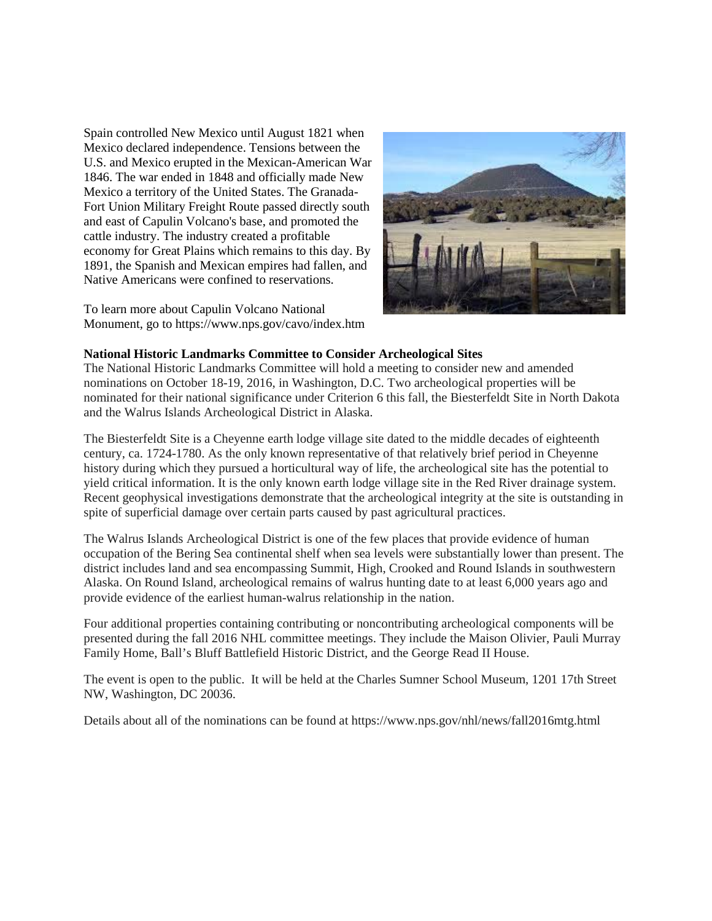Spain controlled New Mexico until August 1821 when Mexico declared independence. Tensions between the U.S. and Mexico erupted in the Mexican-American War 1846. The war ended in 1848 and officially made New Mexico a territory of the United States. The Granada-Fort Union Military Freight Route passed directly south and east of Capulin Volcano's base, and promoted the cattle industry. The industry created a profitable economy for Great Plains which remains to this day. By 1891, the Spanish and Mexican empires had fallen, and Native Americans were confined to reservations.

To learn more about Capulin Volcano National Monument, go to https://www.nps.gov/cavo/index.htm



#### **National Historic Landmarks Committee to Consider Archeological Sites**

The National Historic Landmarks Committee will hold a meeting to consider new and amended nominations on October 18-19, 2016, in Washington, D.C. Two archeological properties will be nominated for their national significance under Criterion 6 this fall, the Biesterfeldt Site in North Dakota and the Walrus Islands Archeological District in Alaska.

The Biesterfeldt Site is a Cheyenne earth lodge village site dated to the middle decades of eighteenth century, ca. 1724-1780. As the only known representative of that relatively brief period in Cheyenne history during which they pursued a horticultural way of life, the archeological site has the potential to yield critical information. It is the only known earth lodge village site in the Red River drainage system. Recent geophysical investigations demonstrate that the archeological integrity at the site is outstanding in spite of superficial damage over certain parts caused by past agricultural practices.

The Walrus Islands Archeological District is one of the few places that provide evidence of human occupation of the Bering Sea continental shelf when sea levels were substantially lower than present. The district includes land and sea encompassing Summit, High, Crooked and Round Islands in southwestern Alaska. On Round Island, archeological remains of walrus hunting date to at least 6,000 years ago and provide evidence of the earliest human-walrus relationship in the nation.

Four additional properties containing contributing or noncontributing archeological components will be presented during the fall 2016 NHL committee meetings. They include the Maison Olivier, Pauli Murray Family Home, Ball's Bluff Battlefield Historic District, and the George Read II House.

The event is open to the public. It will be held at the Charles Sumner School Museum, 1201 17th Street NW, Washington, DC 20036.

Details about all of the nominations can be found at https://www.nps.gov/nhl/news/fall2016mtg.html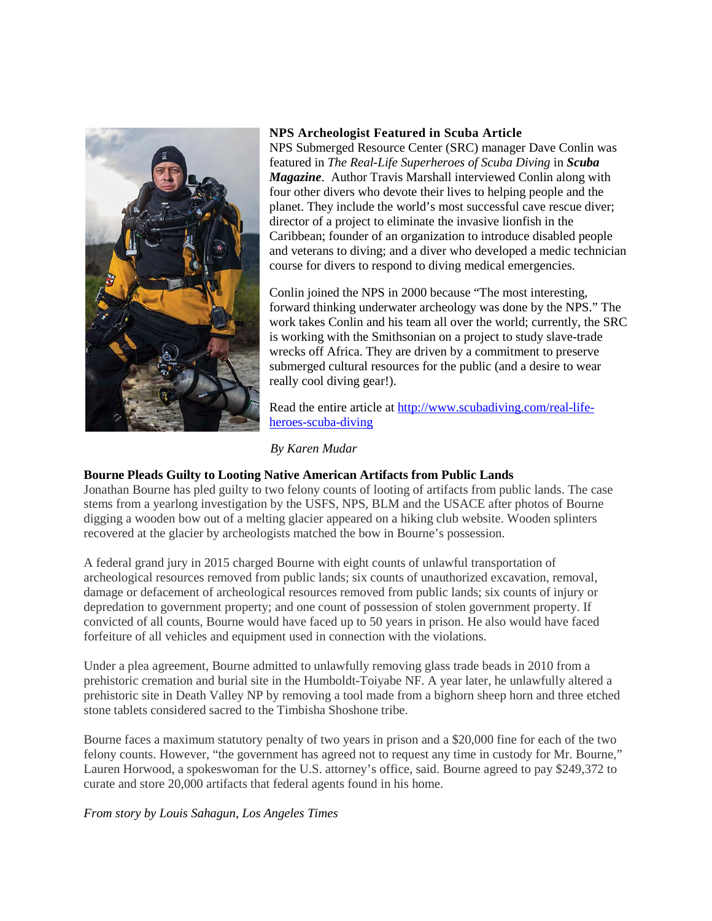

#### **NPS Archeologist Featured in Scuba Article**

NPS Submerged Resource Center (SRC) manager Dave Conlin was featured in *The Real-Life Superheroes of Scuba Diving* in *Scuba Magazine*. Author Travis Marshall interviewed Conlin along with four other divers who devote their lives to helping people and the planet. They include the world's most successful cave rescue diver; director of a project to eliminate the invasive lionfish in the Caribbean; founder of an organization to introduce disabled people and veterans to diving; and a diver who developed a medic technician course for divers to respond to diving medical emergencies.

Conlin joined the NPS in 2000 because "The most interesting, forward thinking underwater archeology was done by the NPS." The work takes Conlin and his team all over the world; currently, the SRC is working with the Smithsonian on a project to study slave-trade wrecks off Africa. They are driven by a commitment to preserve submerged cultural resources for the public (and a desire to wear really cool diving gear!).

Read the entire article at [http://www.scubadiving.com/real-life](http://www.scubadiving.com/real-life-heroes-scuba-diving)[heroes-scuba-diving](http://www.scubadiving.com/real-life-heroes-scuba-diving)

#### *By Karen Mudar*

#### **Bourne Pleads Guilty to Looting Native American Artifacts from Public Lands**

Jonathan Bourne has pled guilty to two felony counts of looting of artifacts from public lands. The case stems from a yearlong investigation by the USFS, NPS, BLM and the USACE after photos of Bourne digging a wooden bow out of a melting glacier appeared on a hiking club website. Wooden splinters recovered at the glacier by archeologists matched the bow in Bourne's possession.

A federal grand jury in 2015 charged Bourne with eight counts of unlawful transportation of archeological resources removed from public lands; six counts of unauthorized excavation, removal, damage or defacement of archeological resources removed from public lands; six counts of injury or depredation to government property; and one count of possession of stolen government property. If convicted of all counts, Bourne would have faced up to 50 years in prison. He also would have faced forfeiture of all vehicles and equipment used in connection with the violations.

Under a plea agreement, Bourne admitted to unlawfully removing glass trade beads in 2010 from a prehistoric cremation and burial site in the Humboldt-Toiyabe NF. A year later, he unlawfully altered a prehistoric site in Death Valley NP by removing a tool made from a bighorn sheep horn and three etched stone tablets considered sacred to the Timbisha Shoshone tribe.

Bourne faces a maximum statutory penalty of two years in prison and a \$20,000 fine for each of the two felony counts. However, "the government has agreed not to request any time in custody for Mr. Bourne," Lauren Horwood, a spokeswoman for the U.S. attorney's office, said. Bourne agreed to pay \$249,372 to curate and store 20,000 artifacts that federal agents found in his home.

*From story by Louis Sahagun, Los Angeles Times*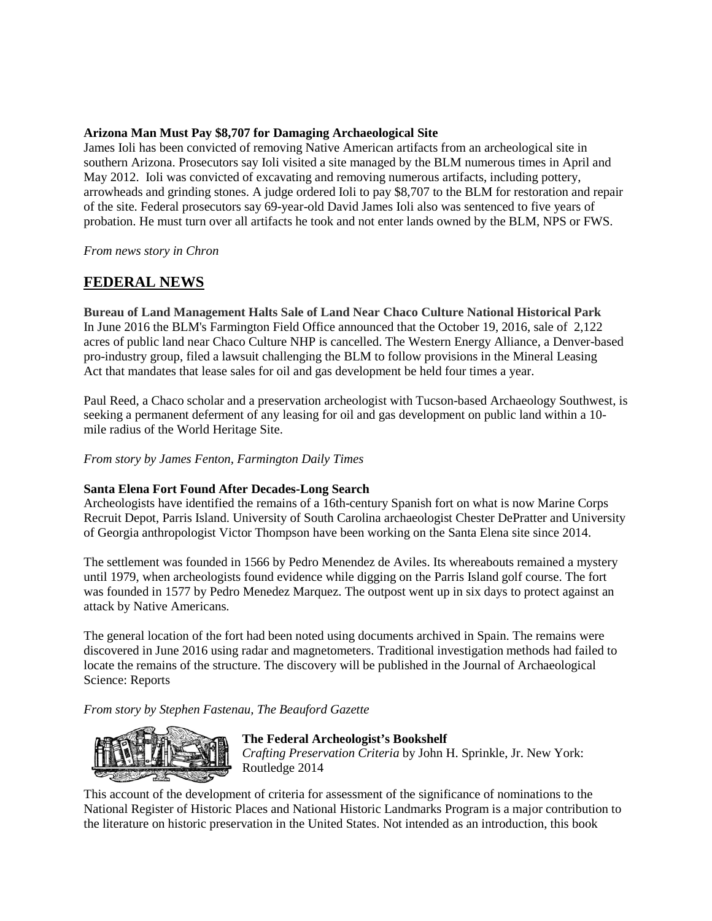#### **Arizona Man Must Pay \$8,707 for Damaging Archaeological Site**

James Ioli has been convicted of removing Native American artifacts from an archeological site in southern Arizona. Prosecutors say Ioli visited a site managed by the BLM numerous times in April and May 2012. Ioli was convicted of excavating and removing numerous artifacts, including pottery, arrowheads and grinding stones. A judge ordered Ioli to pay \$8,707 to the BLM for restoration and repair of the site. Federal prosecutors say 69-year-old David James Ioli also was sentenced to five years of probation. He must turn over all artifacts he took and not enter lands owned by the BLM, NPS or FWS.

*From news story in Chron*

## **FEDERAL NEWS**

**Bureau of Land Management Halts Sale of Land Near Chaco Culture National Historical Park** In June 2016 the BLM's Farmington Field Office announced that the October 19, 2016, sale of 2,122 acres of public land near Chaco Culture NHP is cancelled. The Western Energy Alliance, a Denver-based pro-industry group, filed a lawsuit challenging the BLM to follow provisions in the Mineral Leasing Act that mandates that lease sales for oil and gas development be held four times a year.

Paul Reed, a Chaco scholar and a preservation archeologist with Tucson-based Archaeology Southwest, is seeking a permanent deferment of any leasing for oil and gas development on public land within a 10 mile radius of the World Heritage Site.

*From story by James Fenton, Farmington Daily Times*

### **Santa Elena Fort Found After Decades-Long Search**

Archeologists have identified the remains of a 16th-century Spanish fort on what is now Marine Corps Recruit Depot, Parris Island. University of South Carolina archaeologist Chester DePratter and University of Georgia anthropologist Victor Thompson have been working on the Santa Elena site since 2014.

The settlement was founded in 1566 by Pedro Menendez de Aviles. Its whereabouts remained a mystery until 1979, when archeologists found evidence while digging on the Parris Island golf course. The fort was founded in 1577 by Pedro Menedez Marquez. The outpost went up in six days to protect against an attack by Native Americans.

The general location of the fort had been noted using documents archived in Spain. The remains were discovered in June 2016 using radar and magnetometers. Traditional investigation methods had failed to locate the remains of the structure. The discovery will be published in the Journal of Archaeological Science: Reports

*From story by Stephen Fastenau, The Beauford Gazette*



#### **The Federal Archeologist's Bookshelf**

*Crafting Preservation Criteria* by John H. Sprinkle, Jr. New York: Routledge 2014

This account of the development of criteria for assessment of the significance of nominations to the National Register of Historic Places and National Historic Landmarks Program is a major contribution to the literature on historic preservation in the United States. Not intended as an introduction, this book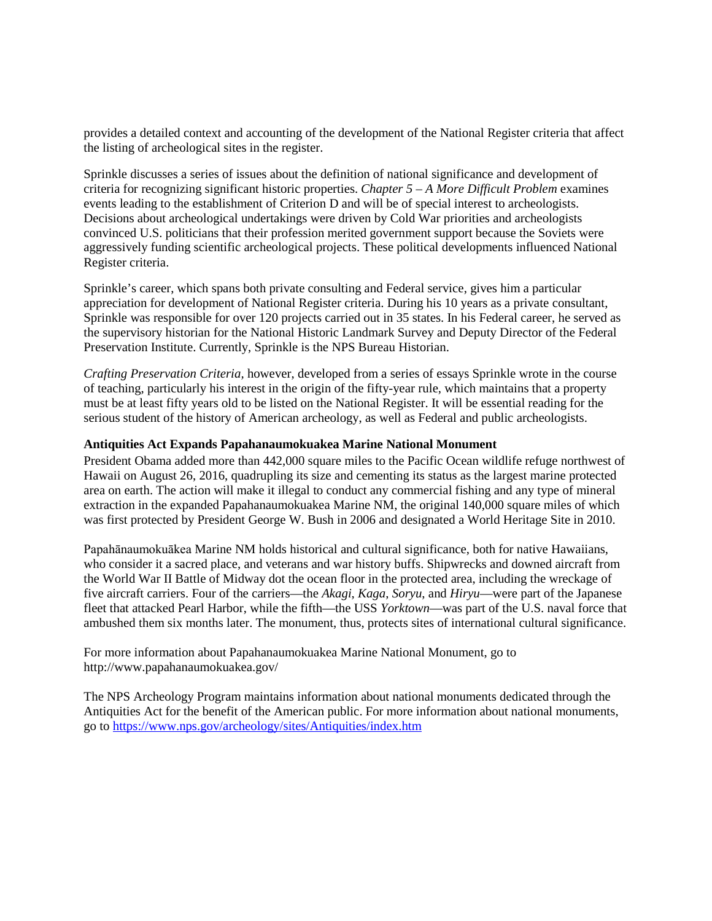provides a detailed context and accounting of the development of the National Register criteria that affect the listing of archeological sites in the register.

Sprinkle discusses a series of issues about the definition of national significance and development of criteria for recognizing significant historic properties. *Chapter 5 – A More Difficult Problem* examines events leading to the establishment of Criterion D and will be of special interest to archeologists. Decisions about archeological undertakings were driven by Cold War priorities and archeologists convinced U.S. politicians that their profession merited government support because the Soviets were aggressively funding scientific archeological projects. These political developments influenced National Register criteria.

Sprinkle's career, which spans both private consulting and Federal service, gives him a particular appreciation for development of National Register criteria. During his 10 years as a private consultant, Sprinkle was responsible for over 120 projects carried out in 35 states. In his Federal career, he served as the supervisory historian for the National Historic Landmark Survey and Deputy Director of the Federal Preservation Institute. Currently, Sprinkle is the NPS Bureau Historian.

*Crafting Preservation Criteria,* however, developed from a series of essays Sprinkle wrote in the course of teaching, particularly his interest in the origin of the fifty-year rule, which maintains that a property must be at least fifty years old to be listed on the National Register. It will be essential reading for the serious student of the history of American archeology, as well as Federal and public archeologists.

#### **Antiquities Act Expands Papahanaumokuakea Marine National Monument**

President Obama added more than 442,000 square miles to the Pacific Ocean wildlife refuge northwest of Hawaii on August 26, 2016, quadrupling its size and cementing its status as the largest marine protected area on earth. The action will make it illegal to conduct any commercial fishing and any type of mineral extraction in the expanded Papahanaumokuakea Marine NM, the original 140,000 square miles of which was first protected by President George W. Bush in 2006 and designated a World Heritage Site in 2010.

Papahānaumokuākea Marine NM holds historical and cultural significance, both for native Hawaiians, who consider it a sacred place, and veterans and war history buffs. Shipwrecks and downed aircraft from the World War II Battle of Midway dot the ocean floor in the protected area, including the wreckage of five aircraft carriers. Four of the carriers—the *Akagi*, *Kaga*, *Soryu*, and *Hiryu*—were part of the Japanese fleet that attacked Pearl Harbor, while the fifth—the USS *Yorktown*—was part of the U.S. naval force that ambushed them six months later. The monument, thus, protects sites of international cultural significance.

For more information about Papahanaumokuakea Marine National Monument, go to http://www.papahanaumokuakea.gov/

The NPS Archeology Program maintains information about national monuments dedicated through the Antiquities Act for the benefit of the American public. For more information about national monuments, go to<https://www.nps.gov/archeology/sites/Antiquities/index.htm>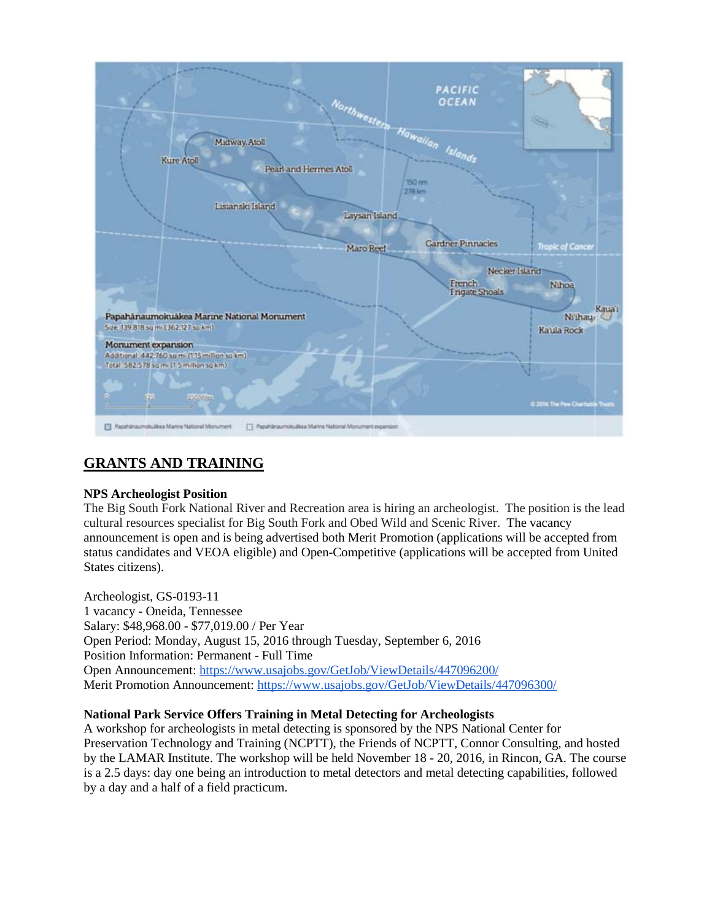

# **GRANTS AND TRAINING**

#### **NPS Archeologist Position**

The Big South Fork National River and Recreation area is hiring an archeologist. The position is the lead cultural resources specialist for Big South Fork and Obed Wild and Scenic River. The vacancy announcement is open and is being advertised both Merit Promotion (applications will be accepted from status candidates and VEOA eligible) and Open-Competitive (applications will be accepted from United States citizens).

Archeologist, GS-0193-11 1 vacancy - Oneida, Tennessee Salary: \$48,968.00 - \$77,019.00 / Per Year Open Period: Monday, August 15, 2016 through Tuesday, September 6, 2016 Position Information: Permanent - Full Time Open Announcement: <https://www.usajobs.gov/GetJob/ViewDetails/447096200/> Merit Promotion Announcement: <https://www.usajobs.gov/GetJob/ViewDetails/447096300/>

#### **National Park Service Offers Training in Metal Detecting for Archeologists**

A workshop for archeologists in metal detecting is sponsored by the NPS National Center for Preservation Technology and Training (NCPTT), the Friends of NCPTT, Connor Consulting, and hosted by the LAMAR Institute. The workshop will be held November 18 - 20, 2016, in Rincon, GA. The course is a 2.5 days: day one being an introduction to metal detectors and metal detecting capabilities, followed by a day and a half of a field practicum.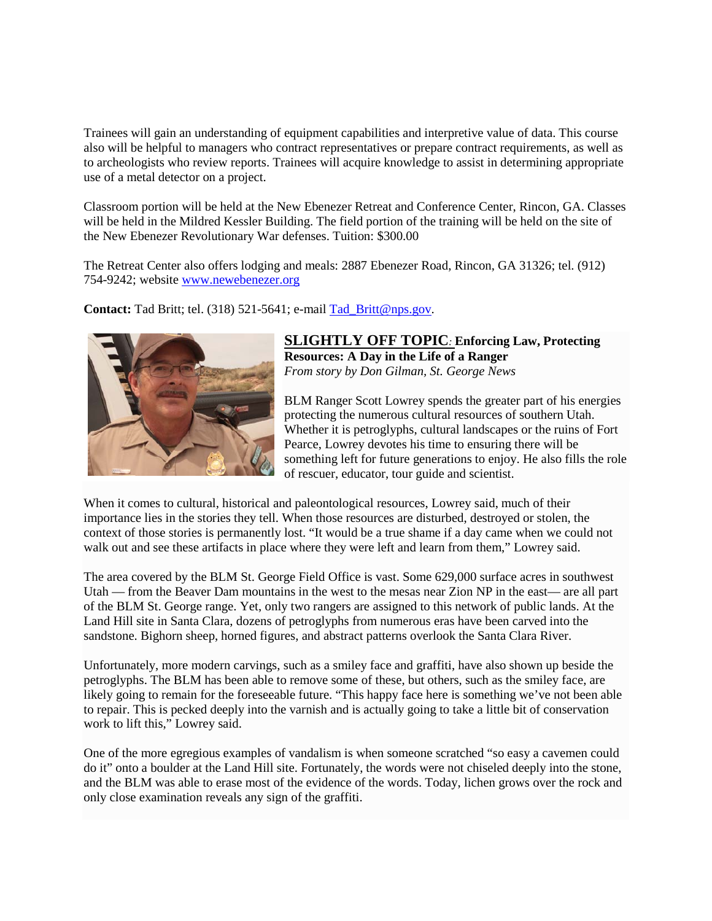Trainees will gain an understanding of equipment capabilities and interpretive value of data. This course also will be helpful to managers who contract representatives or prepare contract requirements, as well as to archeologists who review reports. Trainees will acquire knowledge to assist in determining appropriate use of a metal detector on a project.

Classroom portion will be held at the New Ebenezer Retreat and Conference Center, Rincon, GA. Classes will be held in the Mildred Kessler Building. The field portion of the training will be held on the site of the New Ebenezer Revolutionary War defenses. Tuition: \$300.00

The Retreat Center also offers lodging and meals: 2887 Ebenezer Road, Rincon, GA 31326; tel. (912) 754-9242; website [www.newebenezer.org](http://r20.rs6.net/tn.jsp?f=001KKCX3OOGXaigIDgk4jN3ql1X0RCjGHiD_-e_BUXL657abEWRX9bioE1t26bjWQA5X9aVHIoIK0YjVgKFRZtA-UE1vF5J1EwBDhgoG5eB4Kz7Vh67P6KqL3CBV-GrDY2txmuN83nHJD-87v1s8r_nArWauEWVh0r7uMJRqlhMF70=&c=vWQgMNLDYwBYNpgiqNwMkT_hg6KCEpsjdAK2MbO-HWVeoatPX8xBuA==&ch=MrsTNLH4BDPlcyp1vNxKC-HCiYSDPro709bPxB0qB5yvWnL2w3Tr5g==)

**Contact:** Tad Britt; tel. (318) 521-5641; e-mail [Tad\\_Britt@nps.gov.](mailto:Tad_Britt@nps.gov)



**SLIGHTLY OFF TOPIC***:* **Enforcing Law, Protecting Resources: A Day in the Life of a Ranger** *From story by Don Gilman, St. George News*

BLM Ranger Scott Lowrey spends the greater part of his energies protecting the numerous cultural resources of southern Utah. Whether it is petroglyphs, cultural landscapes or the ruins of Fort Pearce, Lowrey devotes his time to ensuring there will be something left for future generations to enjoy. He also fills the role of rescuer, educator, tour guide and scientist.

When it comes to cultural, historical and paleontological resources, Lowrey said, much of their importance lies in the stories they tell. When those resources are disturbed, destroyed or stolen, the context of those stories is permanently lost. "It would be a true shame if a day came when we could not walk out and see these artifacts in place where they were left and learn from them," Lowrey said.

The area covered by the BLM St. George Field Office is vast. Some 629,000 surface acres in southwest Utah — from the Beaver Dam mountains in the west to the mesas near Zion NP in the east— are all part of the BLM St. George range. Yet, only two rangers are assigned to this network of public lands. At the Land Hill site in Santa Clara, dozens of petroglyphs from numerous eras have been carved into the sandstone. Bighorn sheep, horned figures, and abstract patterns overlook the Santa Clara River.

Unfortunately, more modern carvings, such as a smiley face and graffiti, have also shown up beside the petroglyphs. The BLM has been able to remove some of these, but others, such as the smiley face, are likely going to remain for the foreseeable future. "This happy face here is something we've not been able to repair. This is pecked deeply into the varnish and is actually going to take a little bit of conservation work to lift this," Lowrey said.

One of the more egregious examples of vandalism is when someone scratched "so easy a cavemen could do it" onto a boulder at the Land Hill site. Fortunately, the words were not chiseled deeply into the stone, and the BLM was able to erase most of the evidence of the words. Today, lichen grows over the rock and only close examination reveals any sign of the graffiti.